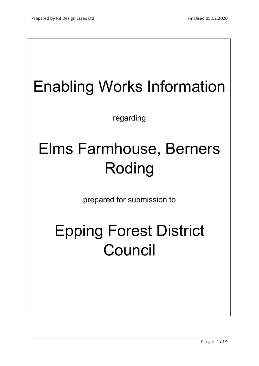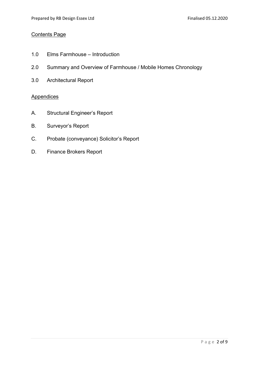## Contents Page

- 1.0 Elms Farmhouse Introduction
- 2.0 Summary and Overview of Farmhouse / Mobile Homes Chronology
- 3.0 Architectural Report

## **Appendices**

- A. Structural Engineer's Report
- B. Surveyor's Report
- C. Probate (conveyance) Solicitor's Report
- D. Finance Brokers Report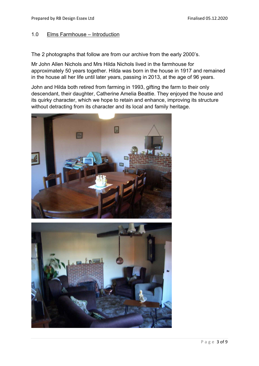## 1.0 Elms Farmhouse – Introduction

The 2 photographs that follow are from our archive from the early 2000's.

Mr John Allen Nichols and Mrs Hilda Nichols lived in the farmhouse for approximately 50 years together. Hilda was born in the house in 1917 and remained in the house all her life until later years, passing in 2013, at the age of 96 years.

John and Hilda both retired from farming in 1993, gifting the farm to their only descendant, their daughter, Catherine Amelia Beattie. They enjoyed the house and its quirky character, which we hope to retain and enhance, improving its structure without detracting from its character and its local and family heritage.



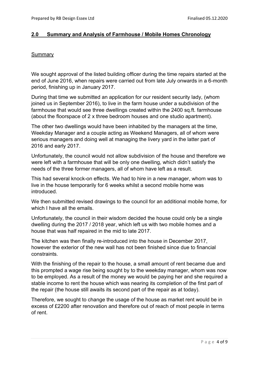## 2.0 Summary and Analysis of Farmhouse / Mobile Homes Chronology

## **Summary**

We sought approval of the listed building officer during the time repairs started at the end of June 2016, when repairs were carried out from late July onwards in a 6-month period, finishing up in January 2017.

During that time we submitted an application for our resident security lady, (whom joined us in September 2016), to live in the farm house under a subdivision of the farmhouse that would see three dwellings created within the 2400 sq.ft. farmhouse (about the floorspace of 2 x three bedroom houses and one studio apartment).

The other two dwellings would have been inhabited by the managers at the time, Weekday Manager and a couple acting as Weekend Managers, all of whom were serious managers and doing well at managing the livery yard in the latter part of 2016 and early 2017.

Unfortunately, the council would not allow subdivision of the house and therefore we were left with a farmhouse that will be only one dwelling, which didn't satisfy the needs of the three former managers, all of whom have left as a result.

This had several knock-on effects. We had to hire in a new manager, whom was to live in the house temporarily for 6 weeks whilst a second mobile home was introduced.

We then submitted revised drawings to the council for an additional mobile home, for which I have all the emails.

Unfortunately, the council in their wisdom decided the house could only be a single dwelling during the 2017 / 2018 year, which left us with two mobile homes and a house that was half repaired in the mid to late 2017.

The kitchen was then finally re-introduced into the house in December 2017, however the exterior of the new wall has not been finished since due to financial constraints.

With the finishing of the repair to the house, a small amount of rent became due and this prompted a wage rise being sought by to the weekday manager, whom was now to be employed. As a result of the money we would be paying her and she required a stable income to rent the house which was nearing its completion of the first part of the repair (the house still awaits its second part of the repair as at today).

Therefore, we sought to change the usage of the house as market rent would be in excess of £2200 after renovation and therefore out of reach of most people in terms of rent.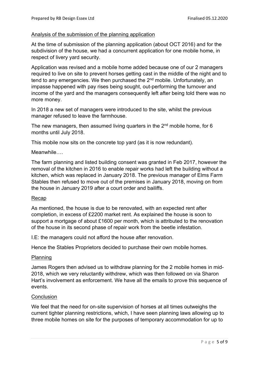## Analysis of the submission of the planning application

At the time of submission of the planning application (about OCT 2016) and for the subdivision of the house, we had a concurrent application for one mobile home, in respect of livery yard security.

Application was revised and a mobile home added because one of our 2 managers required to live on site to prevent horses getting cast in the middle of the night and to tend to any emergencies. We then purchased the  $2<sup>nd</sup>$  mobile. Unfortunately, an impasse happened with pay rises being sought, out-performing the turnover and income of the yard and the managers consequently left after being told there was no more money.

In 2018 a new set of managers were introduced to the site, whilst the previous manager refused to leave the farmhouse.

The new managers, then assumed living quarters in the 2<sup>nd</sup> mobile home, for 6 months until July 2018.

This mobile now sits on the concrete top yard (as it is now redundant).

#### Meanwhile….

The farm planning and listed building consent was granted in Feb 2017, however the removal of the kitchen in 2016 to enable repair works had left the building without a kitchen, which was replaced in January 2018. The previous manager of Elms Farm Stables then refused to move out of the premises in January 2018, moving on from the house in January 2019 after a court order and bailiffs.

#### Recap

As mentioned, the house is due to be renovated, with an expected rent after completion, in excess of £2200 market rent. As explained the house is soon to support a mortgage of about £1600 per month, which is attributed to the renovation of the house in its second phase of repair work from the beetle infestation.

I.E: the managers could not afford the house after renovation.

Hence the Stables Proprietors decided to purchase their own mobile homes.

#### Planning

James Rogers then advised us to withdraw planning for the 2 mobile homes in mid-2018, which we very reluctantly withdrew, which was then followed on via Sharon Hart's involvement as enforcement. We have all the emails to prove this sequence of events.

#### **Conclusion**

We feel that the need for on-site supervision of horses at all times outweighs the current tighter planning restrictions, which, I have seen planning laws allowing up to three mobile homes on site for the purposes of temporary accommodation for up to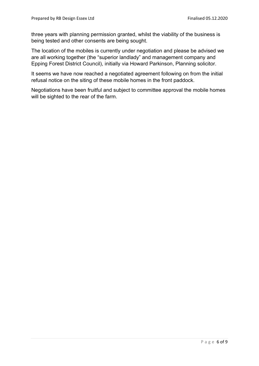three years with planning permission granted, whilst the viability of the business is being tested and other consents are being sought.

The location of the mobiles is currently under negotiation and please be advised we are all working together (the "superior landlady" and management company and Epping Forest District Council), initially via Howard Parkinson, Planning solicitor.

It seems we have now reached a negotiated agreement following on from the initial refusal notice on the siting of these mobile homes in the front paddock.

Negotiations have been fruitful and subject to committee approval the mobile homes will be sighted to the rear of the farm.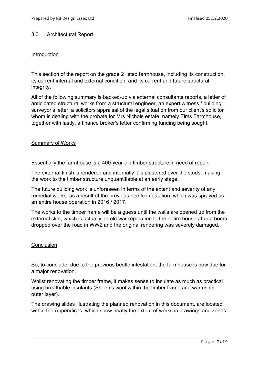## 3.0 Architectural Report

## Introduction

This section of the report on the grade 2 listed farmhouse, including its construction, its current internal and external condition, and its current and future structural integrity.

All of the following summary is backed-up via external consultants reports, a letter of anticipated structural works from a structural engineer, an expert witness / building surveyor's letter, a solicitors appraisal of the legal situation from our client's solicitor whom is dealing with the probate for Mrs Nichols estate, namely Elms Farmhouse, together with lastly, a finance broker's letter confirming funding being sought.

## Summary of Works

Essentially the farmhouse is a 400-year-old timber structure in need of repair.

The external finish is rendered and internally it is plastered over the studs, making the work to the timber structure unquantifiable at an early stage.

The future building work is unforeseen in terms of the extent and severity of any remedial works, as a result of the previous beetle infestation, which was sprayed as an entire house operation in 2016 / 2017.

The works to the timber frame will be a guess until the walls are opened up from the external skin, which is actually an old war reparation to the entire house after a bomb dropped over the road in WW2 and the original rendering was severely damaged.

#### **Conclusion**

So, to conclude, due to the previous beetle infestation, the farmhouse is now due for a major renovation.

Whilst renovating the timber frame, it makes sense to insulate as much as practical using breathable insulants (Sheep's wool within the timber frame and warmshell outer layer).

The drawing slides illustrating the planned renovation in this document, are located within the Appendices, which show neatly the extent of works in drawings and zones.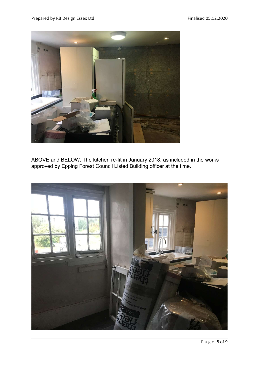

ABOVE and BELOW: The kitchen re-fit in January 2018, as included in the works approved by Epping Forest Council Listed Building officer at the time.